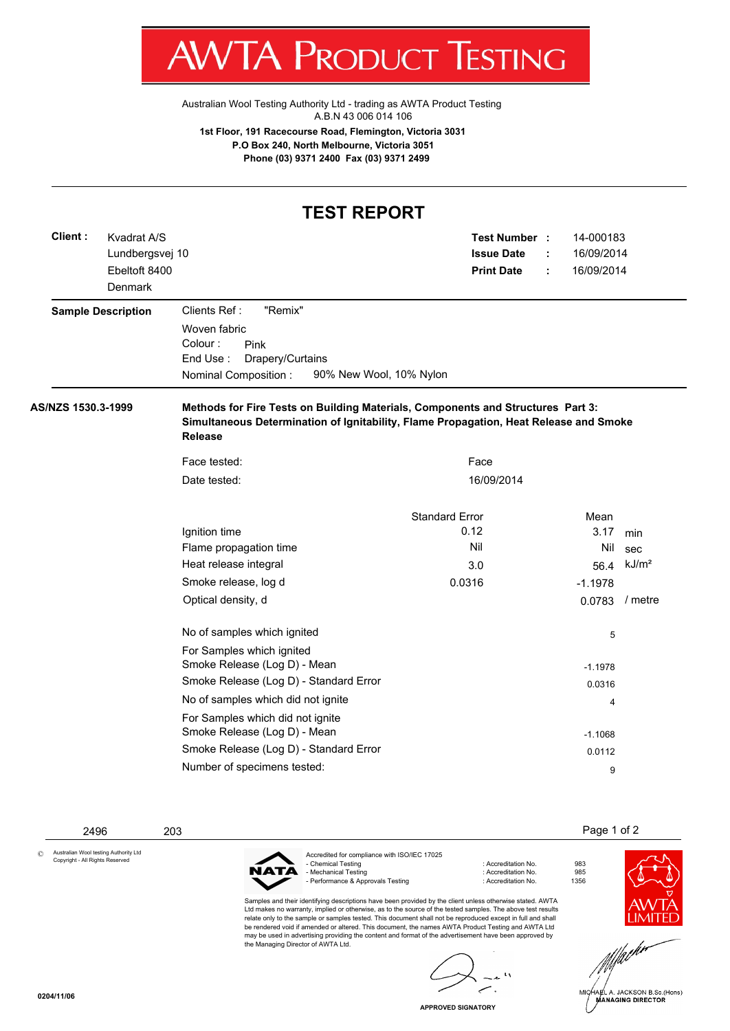

Australian Wool Testing Authority Ltd - trading as AWTA Product Testing A.B.N 43 006 014 106

**1st Floor, 191 Racecourse Road, Flemington, Victoria 3031 P.O Box 240, North Melbourne, Victoria 3051 Phone (03) 9371 2400 Fax (03) 9371 2499**

## **TEST REPORT**

| Client:            | Kvadrat A/S<br>Lundbergsvej 10<br>Ebeltoft 8400<br>Denmark |                                                                                                                                                                                            | Test Number :<br><b>Issue Date</b><br><b>Print Date</b> | ÷ | 14-000183<br>16/09/2014<br>16/09/2014 |                   |  |  |
|--------------------|------------------------------------------------------------|--------------------------------------------------------------------------------------------------------------------------------------------------------------------------------------------|---------------------------------------------------------|---|---------------------------------------|-------------------|--|--|
|                    | <b>Sample Description</b>                                  | Clients Ref:<br>"Remix"<br>Woven fabric<br>Colour:<br>Pink<br>End Use:<br>Drapery/Curtains<br>Nominal Composition:                                                                         | 90% New Wool, 10% Nylon                                 |   |                                       |                   |  |  |
| AS/NZS 1530.3-1999 |                                                            | Methods for Fire Tests on Building Materials, Components and Structures Part 3:<br>Simultaneous Determination of Ignitability, Flame Propagation, Heat Release and Smoke<br><b>Release</b> |                                                         |   |                                       |                   |  |  |
|                    |                                                            | Face tested:                                                                                                                                                                               | Face                                                    |   |                                       |                   |  |  |
|                    |                                                            | Date tested:                                                                                                                                                                               | 16/09/2014                                              |   |                                       |                   |  |  |
|                    |                                                            |                                                                                                                                                                                            | <b>Standard Error</b>                                   |   | Mean                                  |                   |  |  |
|                    |                                                            | Ignition time                                                                                                                                                                              | 0.12                                                    |   | 3.17                                  | min               |  |  |
|                    |                                                            | Flame propagation time                                                                                                                                                                     | Nil                                                     |   | Nil                                   | sec               |  |  |
|                    |                                                            | Heat release integral                                                                                                                                                                      | 3.0                                                     |   | 56.4                                  | kJ/m <sup>2</sup> |  |  |
|                    |                                                            | Smoke release, log d                                                                                                                                                                       | 0.0316                                                  |   | $-1.1978$                             |                   |  |  |
|                    |                                                            | Optical density, d                                                                                                                                                                         |                                                         |   | 0.0783                                | / metre           |  |  |
|                    |                                                            | No of samples which ignited                                                                                                                                                                |                                                         |   | 5                                     |                   |  |  |
|                    |                                                            | For Samples which ignited<br>Smoke Release (Log D) - Mean                                                                                                                                  |                                                         |   | $-1.1978$                             |                   |  |  |
|                    |                                                            | Smoke Release (Log D) - Standard Error                                                                                                                                                     |                                                         |   | 0.0316                                |                   |  |  |
|                    |                                                            | No of samples which did not ignite                                                                                                                                                         |                                                         |   | 4                                     |                   |  |  |
|                    |                                                            | For Samples which did not ignite<br>Smoke Release (Log D) - Mean                                                                                                                           |                                                         |   | $-1.1068$                             |                   |  |  |
|                    |                                                            | Smoke Release (Log D) - Standard Error                                                                                                                                                     |                                                         |   | 0.0112                                |                   |  |  |
|                    |                                                            | Number of specimens tested:                                                                                                                                                                |                                                         |   |                                       |                   |  |  |
|                    |                                                            |                                                                                                                                                                                            |                                                         |   | 9                                     |                   |  |  |

2496 203 Page 1 of 2

Australian Wool testing Authority Ltd Copyright - All Rights Reserved ©



Accredited for compliance with ISO/IEC 17025<br>- Chemical Testing 983 - Mechanical Testing : Accreditation No. 985 - Performance & Approvals Testing : Accreditation No. 1356

Samples and their identifying descriptions have been provided by the client unless otherwise stated. AWTA Ltd makes no warranty, implied or otherwise, as to the source of the tested samples. The above test results relate only to the sample or samples tested. This document shall not be reproduced except in full and shall be rendered void if amended or altered. This document, the names AWTA Product Testing and AWTA Ltd may be used in advertising providing the content and format of the advertisement have been approved by may be used in advertising providing the content and format of the advertisement have been approved by the Managing Director of AWTA Ltd.

 $\mathbf{A}$ 

**APPROVED SIGNATORY**